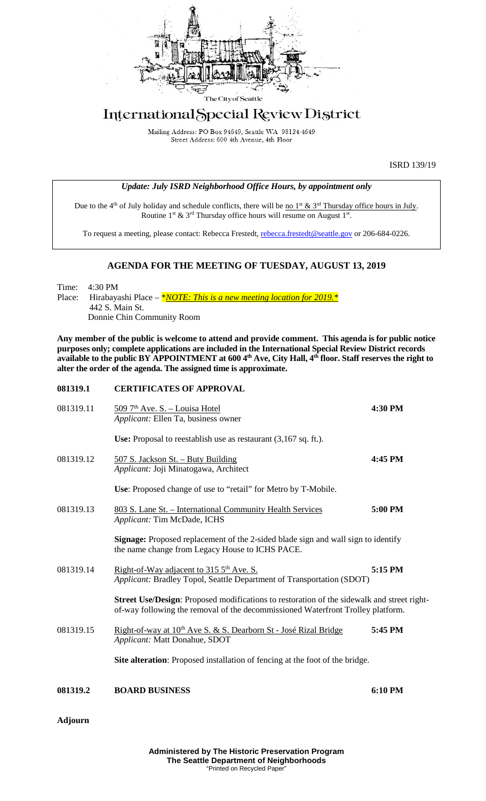

## International Special Review District

Mailing Address: PO Box 94649, Seattle WA 98124-4649 Street Address: 600 4th Avenue, 4th Floor

ISRD 139/19

|  | Update: July ISRD Neighborhood Office Hours, by appointment only |  |
|--|------------------------------------------------------------------|--|
|  |                                                                  |  |

Due to the 4<sup>th</sup> of July holiday and schedule conflicts, there will be <u>no 1<sup>st</sup> & 3<sup>rd</sup> Thursday office hours in July</u>. Routine 1<sup>st</sup> & 3<sup>rd</sup> Thursday office hours will resume on August 1<sup>st</sup>.

To request a meeting, please contact: Rebecca Frestedt, [rebecca.frestedt@seattle.gov](mailto:rebecca.frestedt@seattle.gov) or 206-684-0226.

## **AGENDA FOR THE MEETING OF TUESDAY, AUGUST 13, 2019**

Time: 4:30 PM Place: Hirabayashi Place – *\*<u>NOTE: This is a new meeting location for 2019.</u> \** 442 S. Main St. Donnie Chin Community Room

**Any member of the public is welcome to attend and provide comment. This agenda is for public notice purposes only; complete applications are included in the International Special Review District records available to the public BY APPOINTMENT at 600 4th Ave, City Hall, 4th floor. Staff reserves the right to alter the order of the agenda. The assigned time is approximate.** 

| 081319.1  | <b>CERTIFICATES OF APPROVAL</b>                                                                                                                                                      |         |  |  |  |
|-----------|--------------------------------------------------------------------------------------------------------------------------------------------------------------------------------------|---------|--|--|--|
| 081319.11 | 509 7 <sup>th</sup> Ave. S. - Louisa Hotel<br>Applicant: Ellen Ta, business owner                                                                                                    | 4:30 PM |  |  |  |
|           | Use: Proposal to reestablish use as restaurant $(3,167 \text{ sq. ft.})$ .                                                                                                           |         |  |  |  |
| 081319.12 | 507 S. Jackson St. - Buty Building<br>Applicant: Joji Minatogawa, Architect                                                                                                          | 4:45 PM |  |  |  |
|           | Use: Proposed change of use to "retail" for Metro by T-Mobile.                                                                                                                       |         |  |  |  |
| 081319.13 | 803 S. Lane St. - International Community Health Services<br>Applicant: Tim McDade, ICHS                                                                                             | 5:00 PM |  |  |  |
|           | Signage: Proposed replacement of the 2-sided blade sign and wall sign to identify<br>the name change from Legacy House to ICHS PACE.                                                 |         |  |  |  |
| 081319.14 | Right-of-Way adjacent to 315 5 <sup>th</sup> Ave. S.<br>Applicant: Bradley Topol, Seattle Department of Transportation (SDOT)                                                        | 5:15 PM |  |  |  |
|           | <b>Street Use/Design:</b> Proposed modifications to restoration of the sidewalk and street right-<br>of-way following the removal of the decommissioned Waterfront Trolley platform. |         |  |  |  |
| 081319.15 | Right-of-way at 10 <sup>th</sup> Ave S. & S. Dearborn St - José Rizal Bridge<br>Applicant: Matt Donahue, SDOT                                                                        | 5:45 PM |  |  |  |
|           | Site alteration: Proposed installation of fencing at the foot of the bridge.                                                                                                         |         |  |  |  |
| 081319.2  | <b>BOARD BUSINESS</b>                                                                                                                                                                | 6:10 PM |  |  |  |

**Adjourn**